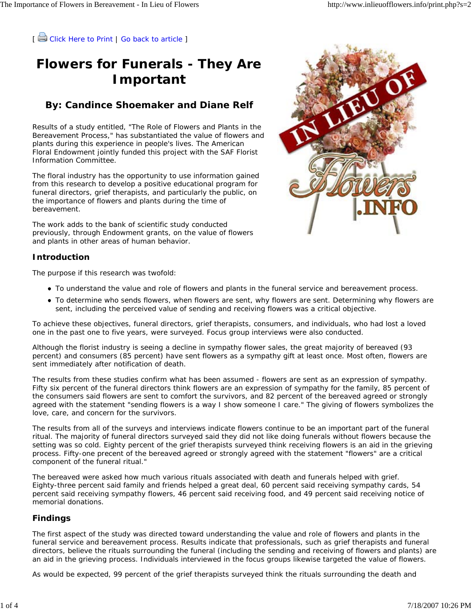[ Click Here to Print | Go back to article ]

## **Flowers for Funerals - They Are Important**

### **By: Candince Shoemaker and Diane Relf**

Results of a study entitled, "The Role of Flowers and Plants in the Bereavement Process," has substantiated the value of flowers and plants during this experience in people's lives. The American Floral Endowment jointly funded this project with the SAF Florist Information Committee.

The floral industry has the opportunity to use information gained from this research to develop a positive educational program for funeral directors, grief therapists, and particularly the public, on the importance of flowers and plants during the time of bereavement.

The work adds to the bank of scientific study conducted previously, through Endowment grants, on the value of flowers and plants in other areas of human behavior.

### **Introduction**

The purpose if this research was twofold:

- To understand the value and role of flowers and plants in the funeral service and bereavement process.
- To determine who sends flowers, when flowers are sent, why flowers are sent. Determining why flowers are sent, including the perceived value of sending and receiving flowers was a critical objective.

To achieve these objectives, funeral directors, grief therapists, consumers, and individuals, who had lost a loved one in the past one to five years, were surveyed. Focus group interviews were also conducted.

Although the florist industry is seeing a decline in sympathy flower sales, the great majority of bereaved (93 percent) and consumers (85 percent) have sent flowers as a sympathy gift at least once. Most often, flowers are sent immediately after notification of death.

The results from these studies confirm what has been assumed - flowers are sent as an expression of sympathy. Fifty six percent of the funeral directors think flowers are an expression of sympathy for the family, 85 percent of the consumers said flowers are sent to comfort the survivors, and 82 percent of the bereaved agreed or strongly agreed with the statement "sending flowers is a way I show someone I care." The giving of flowers symbolizes the love, care, and concern for the survivors.

The results from all of the surveys and interviews indicate flowers continue to be an important part of the funeral ritual. The majority of funeral directors surveyed said they did not like doing funerals without flowers because the setting was so cold. Eighty percent of the grief therapists surveyed think receiving flowers is an aid in the grieving process. Fifty-one precent of the bereaved agreed or strongly agreed with the statement "flowers" are a critical component of the funeral ritual."

The bereaved were asked how much various rituals associated with death and funerals helped with grief. Eighty-three percent said family and friends helped a great deal, 60 percent said receiving sympathy cards, 54 percent said receiving sympathy flowers, 46 percent said receiving food, and 49 percent said receiving notice of memorial donations.

### **Findings**

The first aspect of the study was directed toward understanding the value and role of flowers and plants in the funeral service and bereavement process. Results indicate that professionals, such as grief therapists and funeral directors, believe the rituals surrounding the funeral (including the sending and receiving of flowers and plants) are an aid in the grieving process. Individuals interviewed in the focus groups likewise targeted the value of flowers.

As would be expected, 99 percent of the grief therapists surveyed think the rituals surrounding the death and

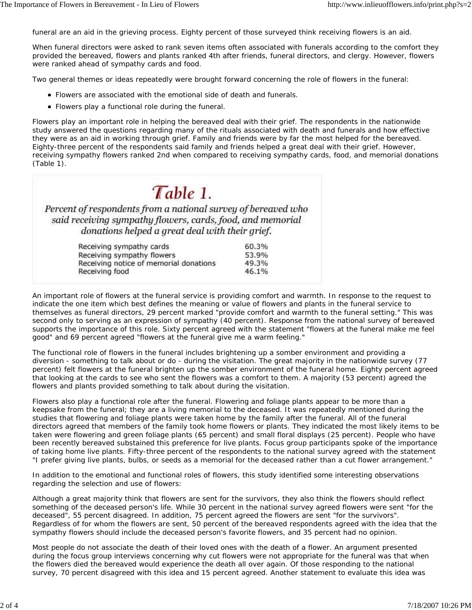funeral are an aid in the grieving process. Eighty percent of those surveyed think receiving flowers is an aid.

*When funeral directors were asked to rank seven items often associated with funerals according to the comfort they provided the bereaved, flowers and plants ranked 4th after friends, funeral directors, and clergy. However, flowers were ranked ahead of sympathy cards and food.*

Two general themes or ideas repeatedly were brought forward concerning the role of flowers in the funeral:

- Flowers are associated with the emotional side of death and funerals.
- Flowers play a functional role during the funeral.

Flowers play an important role in helping the bereaved deal with their grief. The respondents in the nationwide study answered the questions regarding many of the rituals associated with death and funerals and how effective they were as an aid in working through grief. Family and friends were by far the most helped for the bereaved. Eighty-three percent of the respondents said family and friends helped a great deal with their grief. However, receiving sympathy flowers ranked 2nd when compared to receiving sympathy cards, food, and memorial donations (Table 1).

# $Table 1.$

Percent of respondents from a national survey of bereaved who said receiving sympathy flowers, cards, food, and memorial donations helped a great deal with their grief.

| 53.9% |
|-------|
|       |
| 49.3% |
| 46.1% |
|       |

An important role of flowers at the funeral service is providing comfort and warmth. In response to the request to indicate the one item which best defines the meaning or value of flowers and plants in the funeral service to themselves as funeral directors, 29 percent marked "provide comfort and warmth to the funeral setting." This was second only to serving as an expression of sympathy (40 percent). Response from the national survey of bereaved supports the importance of this role. Sixty percent agreed with the statement "flowers at the funeral make me feel good" and 69 percent agreed "flowers at the funeral give me a warm feeling."

The functional role of flowers in the funeral includes brightening up a somber environment and providing a diversion - something to talk about or do - during the visitation. The great majority in the nationwide survey (77 percent) felt flowers at the funeral brighten up the somber environment of the funeral home. Eighty percent agreed that looking at the cards to see who sent the flowers was a comfort to them. A majority (53 percent) agreed the flowers and plants provided something to talk about during the visitation.

Flowers also play a functional role after the funeral. Flowering and foliage plants appear to be more than a keepsake from the funeral; they are a living memorial to the deceased. It was repeatedly mentioned during the studies that flowering and foliage plants were taken home by the family after the funeral. All of the funeral directors agreed that members of the family took home flowers or plants. They indicated the most likely items to be taken were flowering and green foliage plants (65 percent) and small floral displays (25 percent). People who have been recently bereaved substained this preference for live plants. Focus group participants spoke of the importance of taking home live plants. Fifty-three percent of the respondents to the national survey agreed with the statement "I prefer giving live plants, bulbs, or seeds as a memorial for the deceased rather than a cut flower arrangement."

In addition to the emotional and functional roles of flowers, this study identified some interesting observations regarding the selection and use of flowers:

Although a great majority think that flowers are sent for the survivors, they also think the flowers should reflect something of the deceased person's life. While 30 percent in the national survey agreed flowers were sent "for the deceased", 55 percent disagreed. In addition, 75 percent agreed the flowers are sent "for the survivors". Regardless of for whom the flowers are sent, 50 percent of the bereaved respondents agreed with the idea that the sympathy flowers should include the deceased person's favorite flowers, and 35 percent had no opinion.

Most people do not associate the death of their loved ones with the death of a flower. An argument presented during the focus group interviews concerning why cut flowers were not appropriate for the funeral was that when the flowers died the bereaved would experience the death all over again. Of those responding to the national survey, 70 percent disagreed with this idea and 15 percent agreed. Another statement to evaluate this idea was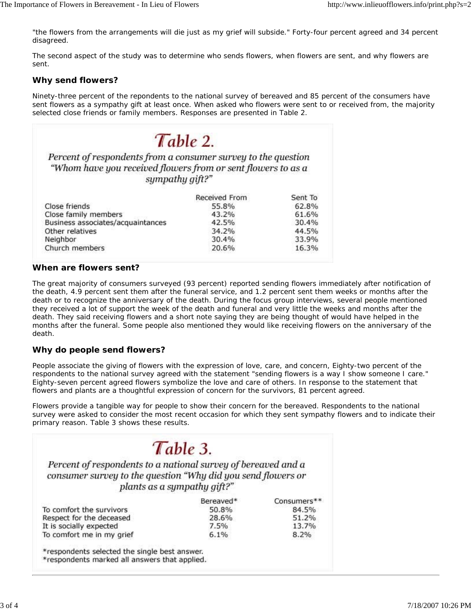"the flowers from the arrangements will die just as my grief will subside." Forty-four percent agreed and 34 percent disagreed.

The second aspect of the study was to determine who sends flowers, when flowers are sent, and why flowers are sent.

### **Why send flowers?**

Ninety-three percent of the repondents to the national survey of bereaved and 85 percent of the consumers have sent flowers as a sympathy gift at least once. When asked who flowers were sent to or received from, the majority selected close friends or family members. Responses are presented in Table 2.

| sympathy gift?"                         | "Whom have you received flowers from or sent flowers to as a |         |
|-----------------------------------------|--------------------------------------------------------------|---------|
|                                         | Received From                                                | Sent To |
| Close friends                           | 55.8%                                                        | 62.8%   |
|                                         |                                                              |         |
|                                         | 43.2%                                                        | 61.6%   |
| Business associates/acquaintances       | 42.5%                                                        | 30.4%   |
| Close family members<br>Other relatives | 34.2%                                                        | 44.5%   |
| Neighbor                                | 30.4%                                                        | 33.9%   |

#### **When are flowers sent?**

The great majority of consumers surveyed (93 percent) reported sending flowers immediately after notification of the death, 4.9 percent sent them after the funeral service, and 1.2 percent sent them weeks or months after the death or to recognize the anniversary of the death. During the focus group interviews, several people mentioned they received a lot of support the week of the death and funeral and very little the weeks and months after the death. They said receiving flowers and a short note saying they are being thought of would have helped in the months after the funeral. Some people also mentioned they would like receiving flowers on the anniversary of the death.

### **Why do people send flowers?**

People associate the giving of flowers with the expression of love, care, and concern, Eighty-two percent of the respondents to the national survey agreed with the statement "sending flowers is a way I show someone I care." Eighty-seven percent agreed flowers symbolize the love and care of others. In response to the statement that flowers and plants are a thoughtful expression of concern for the survivors, 81 percent agreed.

Flowers provide a tangible way for people to show their concern for the bereaved. Respondents to the national survey were asked to consider the most recent occasion for which they sent sympathy flowers and to indicate their primary reason. Table 3 shows these results.

|                                                                                                                               | Table 3.                    |             |
|-------------------------------------------------------------------------------------------------------------------------------|-----------------------------|-------------|
| Percent of respondents to a national survey of bereaved and a<br>consumer survey to the question "Why did you send flowers or | plants as a sympathy gift?" |             |
|                                                                                                                               |                             |             |
|                                                                                                                               | Bereaved*                   | Consumers** |
| To comfort the survivors                                                                                                      | 50.8%                       | 84.5%       |
|                                                                                                                               | 28.6%                       | 51.2%       |
| Respect for the deceased<br>It is socially expected                                                                           | 7.5%                        | 13.7%       |

\*respondents marked all answers that applied.